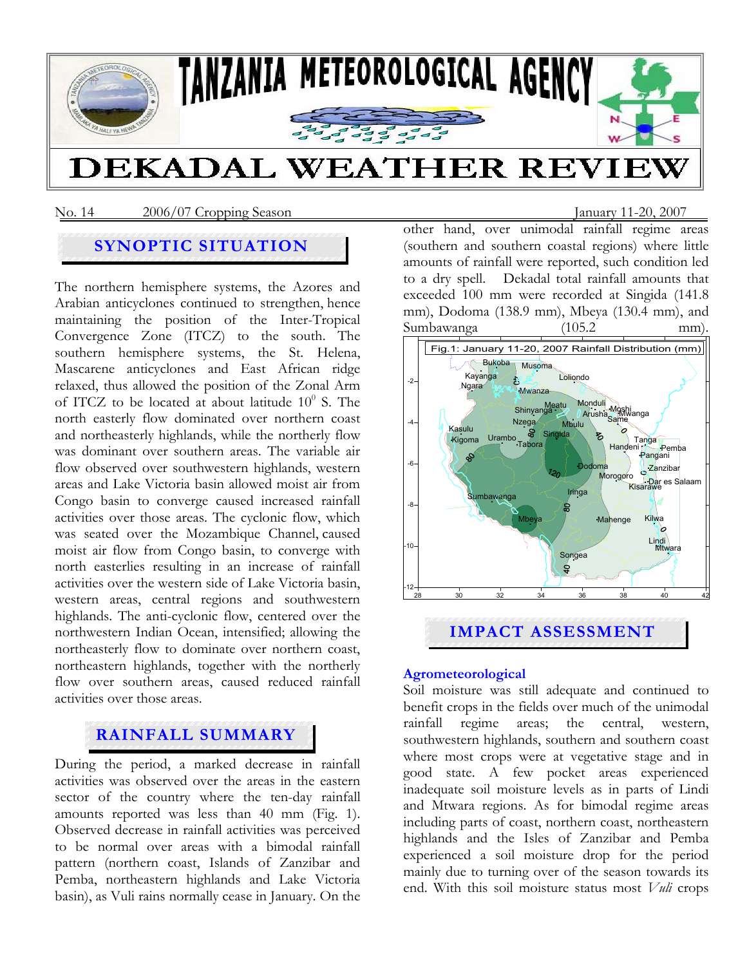

No. 14 2006/07 Cropping Season January 11-20, 2007

# **SYNOPTIC SITUATION**

The northern hemisphere systems, the Azores and Arabian anticyclones continued to strengthen, hence maintaining the position of the Inter-Tropical Convergence Zone (ITCZ) to the south. The southern hemisphere systems, the St. Helena, Mascarene anticyclones and East African ridge relaxed, thus allowed the position of the Zonal Arm of ITCZ to be located at about latitude  $10^0$  S. The north easterly flow dominated over northern coast and northeasterly highlands, while the northerly flow was dominant over southern areas. The variable air flow observed over southwestern highlands, western areas and Lake Victoria basin allowed moist air from Congo basin to converge caused increased rainfall activities over those areas. The cyclonic flow, which was seated over the Mozambique Channel, caused moist air flow from Congo basin, to converge with north easterlies resulting in an increase of rainfall activities over the western side of Lake Victoria basin, western areas, central regions and southwestern highlands. The anti-cyclonic flow, centered over the northwestern Indian Ocean, intensified; allowing the northeasterly flow to dominate over northern coast, northeastern highlands, together with the northerly flow over southern areas, caused reduced rainfall activities over those areas.

# **RAINFALL SUMMARY**

During the period, a marked decrease in rainfall activities was observed over the areas in the eastern sector of the country where the ten-day rainfall amounts reported was less than 40 mm (Fig. 1). Observed decrease in rainfall activities was perceived to be normal over areas with a bimodal rainfall pattern (northern coast, Islands of Zanzibar and Pemba, northeastern highlands and Lake Victoria basin), as Vuli rains normally cease in January. On the

other hand, over unimodal rainfall regime areas (southern and southern coastal regions) where little amounts of rainfall were reported, such condition led to a dry spell. Dekadal total rainfall amounts that exceeded 100 mm were recorded at Singida (141.8 mm), Dodoma (138.9 mm), Mbeya (130.4 mm), and Sumbawanga (105.2 mm).



## **Agrometeorological**

Soil moisture was still adequate and continued to benefit crops in the fields over much of the unimodal rainfall regime areas; the central, western, southwestern highlands, southern and southern coast where most crops were at vegetative stage and in good state. A few pocket areas experienced inadequate soil moisture levels as in parts of Lindi and Mtwara regions. As for bimodal regime areas including parts of coast, northern coast, northeastern highlands and the Isles of Zanzibar and Pemba experienced a soil moisture drop for the period mainly due to turning over of the season towards its end. With this soil moisture status most *Vuli* crops